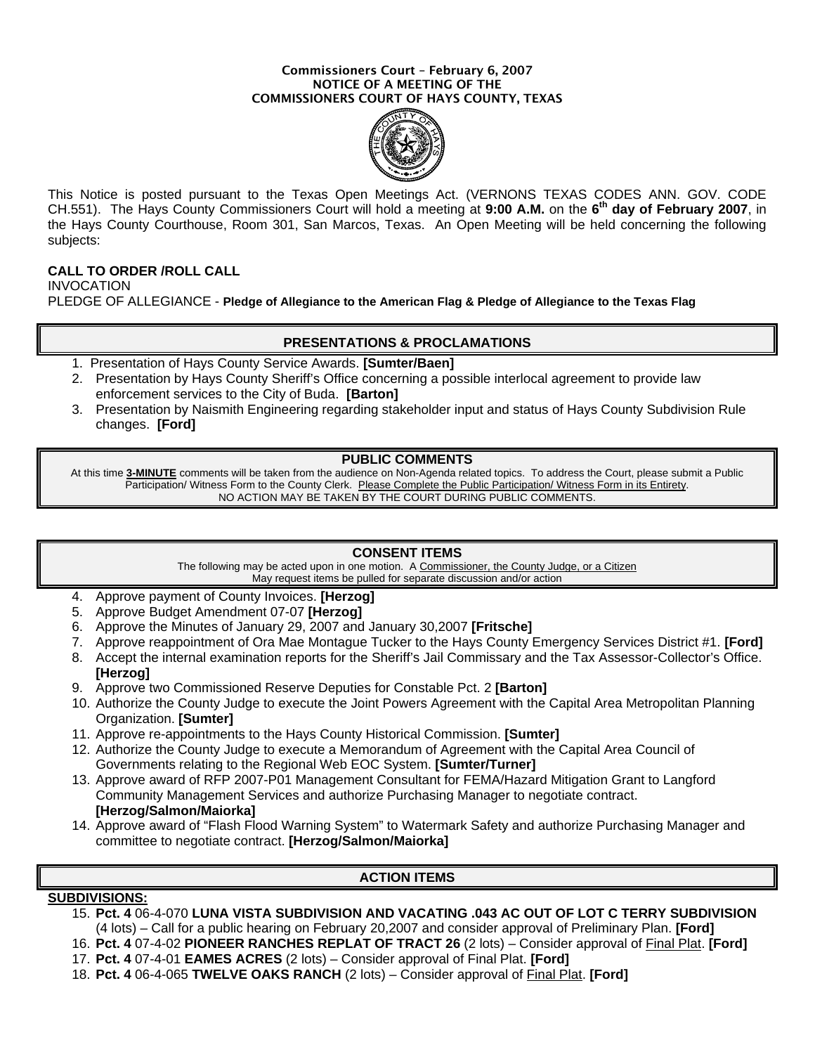#### Commissioners Court – February 6, 2007 NOTICE OF A MEETING OF THE COMMISSIONERS COURT OF HAYS COUNTY, TEXAS



This Notice is posted pursuant to the Texas Open Meetings Act. (VERNONS TEXAS CODES ANN. GOV. CODE CH.551). The Hays County Commissioners Court will hold a meeting at **9:00 A.M.** on the **6th day of February 2007**, in the Hays County Courthouse, Room 301, San Marcos, Texas. An Open Meeting will be held concerning the following subjects:

## **CALL TO ORDER /ROLL CALL**

INVOCATION PLEDGE OF ALLEGIANCE - **Pledge of Allegiance to the American Flag & Pledge of Allegiance to the Texas Flag**

## **PRESENTATIONS & PROCLAMATIONS**

- 1. Presentation of Hays County Service Awards. **[Sumter/Baen]**
- 2. Presentation by Hays County Sheriff's Office concerning a possible interlocal agreement to provide law enforcement services to the City of Buda. **[Barton]**
- 3. Presentation by Naismith Engineering regarding stakeholder input and status of Hays County Subdivision Rule changes. **[Ford]**

#### **PUBLIC COMMENTS**

At this time **3-MINUTE** comments will be taken from the audience on Non-Agenda related topics. To address the Court, please submit a Public Participation/ Witness Form to the County Clerk. Please Complete the Public Participation/ Witness Form in its Entirety. NO ACTION MAY BE TAKEN BY THE COURT DURING PUBLIC COMMENTS.

### **CONSENT ITEMS**

The following may be acted upon in one motion. A Commissioner, the County Judge, or a Citizen May request items be pulled for separate discussion and/or action

- 4. Approve payment of County Invoices. **[Herzog]**
- 5. Approve Budget Amendment 07-07 **[Herzog]**
- 6. Approve the Minutes of January 29, 2007 and January 30,2007 **[Fritsche]**
- 7. Approve reappointment of Ora Mae Montague Tucker to the Hays County Emergency Services District #1. **[Ford]**
- 8. Accept the internal examination reports for the Sheriff's Jail Commissary and the Tax Assessor-Collector's Office. **[Herzog]**
- 9. Approve two Commissioned Reserve Deputies for Constable Pct. 2 **[Barton]**
- 10. Authorize the County Judge to execute the Joint Powers Agreement with the Capital Area Metropolitan Planning Organization. **[Sumter]**
- 11. Approve re-appointments to the Hays County Historical Commission. **[Sumter]**
- 12. Authorize the County Judge to execute a Memorandum of Agreement with the Capital Area Council of Governments relating to the Regional Web EOC System. **[Sumter/Turner]**
- 13. Approve award of RFP 2007-P01 Management Consultant for FEMA/Hazard Mitigation Grant to Langford Community Management Services and authorize Purchasing Manager to negotiate contract. **[Herzog/Salmon/Maiorka]**
- 14. Approve award of "Flash Flood Warning System" to Watermark Safety and authorize Purchasing Manager and committee to negotiate contract. **[Herzog/Salmon/Maiorka]**

# **ACTION ITEMS**

## **SUBDIVISIONS:**

15. **Pct. 4** 06-4-070 **LUNA VISTA SUBDIVISION AND VACATING .043 AC OUT OF LOT C TERRY SUBDIVISION**  (4 lots) – Call for a public hearing on February 20,2007 and consider approval of Preliminary Plan. **[Ford]**

16. **Pct. 4** 07-4-02 **PIONEER RANCHES REPLAT OF TRACT 26** (2 lots) – Consider approval of Final Plat. **[Ford]**

- 17. **Pct. 4** 07-4-01 **EAMES ACRES** (2 lots) Consider approval of Final Plat. **[Ford]**
- 18. **Pct. 4** 06-4-065 **TWELVE OAKS RANCH** (2 lots) Consider approval of Final Plat. **[Ford]**